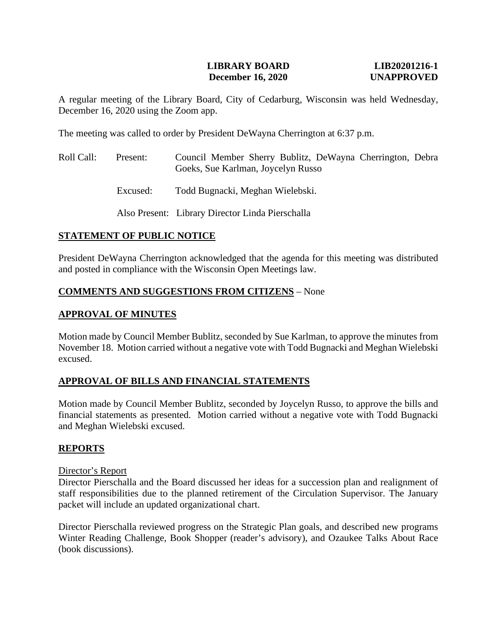### **LIBRARY BOARD LIB20201216-1 December 16, 2020 UNAPPROVED**

A regular meeting of the Library Board, City of Cedarburg, Wisconsin was held Wednesday, December 16, 2020 using the Zoom app.

The meeting was called to order by President DeWayna Cherrington at 6:37 p.m.

- Roll Call: Present: Council Member Sherry Bublitz, DeWayna Cherrington, Debra Goeks, Sue Karlman, Joycelyn Russo
	- Excused: Todd Bugnacki, Meghan Wielebski.

Also Present: Library Director Linda Pierschalla

### **STATEMENT OF PUBLIC NOTICE**

President DeWayna Cherrington acknowledged that the agenda for this meeting was distributed and posted in compliance with the Wisconsin Open Meetings law.

#### **COMMENTS AND SUGGESTIONS FROM CITIZENS** – None

#### **APPROVAL OF MINUTES**

Motion made by Council Member Bublitz, seconded by Sue Karlman, to approve the minutes from November 18. Motion carried without a negative vote with Todd Bugnacki and Meghan Wielebski excused.

#### **APPROVAL OF BILLS AND FINANCIAL STATEMENTS**

Motion made by Council Member Bublitz, seconded by Joycelyn Russo, to approve the bills and financial statements as presented. Motion carried without a negative vote with Todd Bugnacki and Meghan Wielebski excused.

#### **REPORTS**

#### Director's Report

Director Pierschalla and the Board discussed her ideas for a succession plan and realignment of staff responsibilities due to the planned retirement of the Circulation Supervisor. The January packet will include an updated organizational chart.

Director Pierschalla reviewed progress on the Strategic Plan goals, and described new programs Winter Reading Challenge, Book Shopper (reader's advisory), and Ozaukee Talks About Race (book discussions).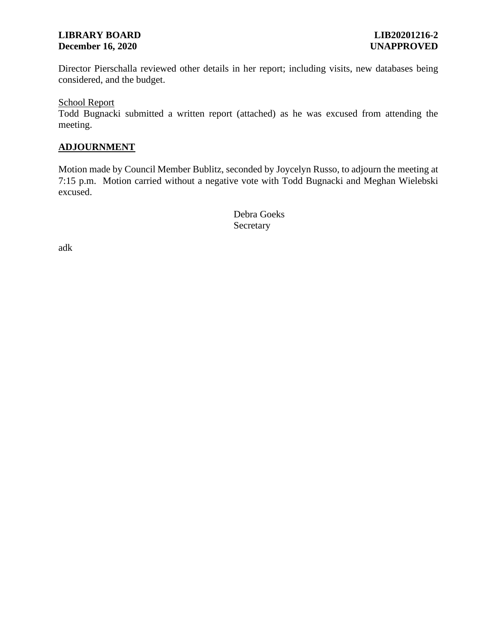### **LIBRARY BOARD LIB20201216-2 December 16, 2020 UNAPPROVED**

Director Pierschalla reviewed other details in her report; including visits, new databases being considered, and the budget.

School Report

Todd Bugnacki submitted a written report (attached) as he was excused from attending the meeting.

# **ADJOURNMENT**

Motion made by Council Member Bublitz, seconded by Joycelyn Russo, to adjourn the meeting at 7:15 p.m. Motion carried without a negative vote with Todd Bugnacki and Meghan Wielebski excused.

> Debra Goeks Secretary

adk